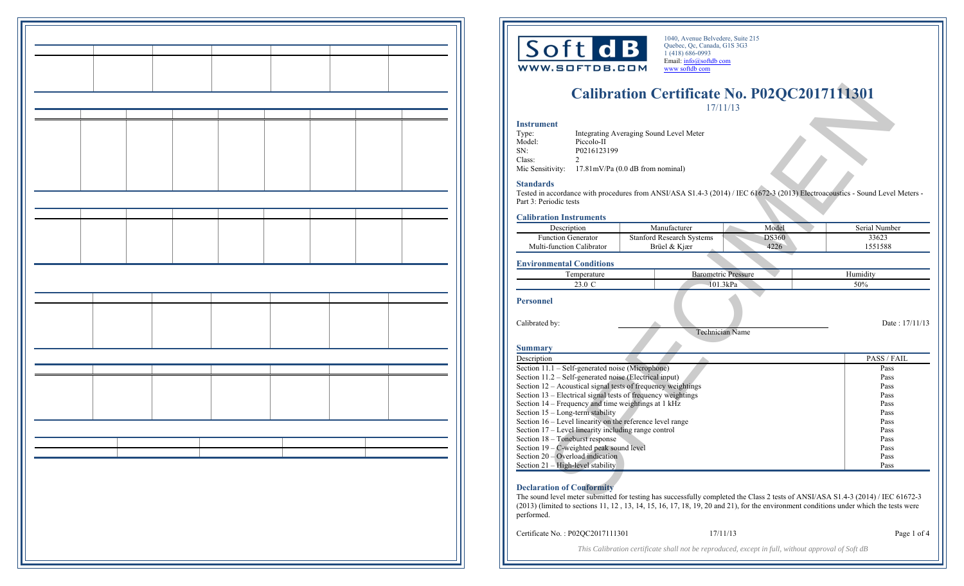

1040, Avenue Belvedere, Suite 215 Quebec, Qc, Canada, G1S 3G3 1 (418) 686-0993 Email: info@softdb com www softdb com

# **Calibration Certificate No. P02QC2017111301**  17/11/13

## **Instrument**

| Type:  | Integrating Averaging Sound Level Meter                     |
|--------|-------------------------------------------------------------|
| Model: | Piccolo-II                                                  |
| SN:    | P0216123199                                                 |
| Class: |                                                             |
|        | Mic Sensitivity: $17.81 \text{mV/Pa}$ (0.0 dB from nominal) |

#### **Standards**

### **Calibration Instruments**

| Description               | Manufacturer                     | Model        | Serial Number |
|---------------------------|----------------------------------|--------------|---------------|
| <b>Function Generator</b> | <b>Stanford Research Systems</b> | <b>DS360</b> | 33623         |
| Multi-function Calibrator | Brüel & Kiær                     | 4226         | 1551588       |

## **Environmental Conditions**

|                                                                                             |                                                                         |  | <b>Calibration Certificate No. P02QC2017111301</b> | 17/11/13                   |              |                                                                                                                                  |
|---------------------------------------------------------------------------------------------|-------------------------------------------------------------------------|--|----------------------------------------------------|----------------------------|--------------|----------------------------------------------------------------------------------------------------------------------------------|
| <b>Instrument</b><br>Type:<br>Model:<br>SN:<br>Class:<br>$\mathfrak{D}$<br>Mic Sensitivity: | Piccolo-II<br>P0216123199<br>$17.81 \text{mV/Pa}$ (0.0 dB from nominal) |  | Integrating Averaging Sound Level Meter            |                            |              |                                                                                                                                  |
| <b>Standards</b><br>Part 3: Periodic tests                                                  |                                                                         |  |                                                    |                            |              | Tested in accordance with procedures from ANSI/ASA S1.4-3 (2014) / IEC 61672-3 (2013) Electroacoustics - Sound Level Meters -    |
| <b>Calibration Instruments</b>                                                              |                                                                         |  |                                                    |                            |              |                                                                                                                                  |
| Description                                                                                 |                                                                         |  | Manufacturer                                       |                            | Model        | Serial Number                                                                                                                    |
| <b>Function Generator</b>                                                                   |                                                                         |  | <b>Stanford Research Systems</b>                   |                            | <b>DS360</b> | 33623                                                                                                                            |
| Multi-function Calibrator                                                                   |                                                                         |  | Brüel & Kjær                                       |                            | 4226         | 1551588                                                                                                                          |
| <b>Environmental Conditions</b>                                                             |                                                                         |  |                                                    |                            |              |                                                                                                                                  |
|                                                                                             | Temperature                                                             |  |                                                    | <b>Barometric Pressure</b> |              | Humidity                                                                                                                         |
|                                                                                             | 23.0 C                                                                  |  |                                                    | 101.3kPa                   |              | 50%                                                                                                                              |
| <b>Personnel</b><br>Calibrated by:<br>Summary                                               |                                                                         |  |                                                    | Technician Name            |              | Date: 17/11/13                                                                                                                   |
| Description                                                                                 |                                                                         |  |                                                    |                            |              | PASS/FAIL                                                                                                                        |
| Section 11.1 – Self-generated noise (Microphone)                                            |                                                                         |  |                                                    |                            |              | Pass                                                                                                                             |
| Section 11.2 – Self-generated noise (Electrical input)                                      |                                                                         |  |                                                    |                            |              | Pass                                                                                                                             |
| Section 12 – Acoustical signal tests of frequency weightings                                |                                                                         |  |                                                    |                            |              | Pass                                                                                                                             |
| Section 13 – Electrical signal tests of frequency weightings                                |                                                                         |  |                                                    |                            |              | Pass                                                                                                                             |
| Section 14 – Frequency and time weightings at 1 kHz                                         |                                                                         |  |                                                    |                            |              | Pass                                                                                                                             |
| Section 15 - Long-term stability                                                            |                                                                         |  |                                                    |                            |              | Pass                                                                                                                             |
| Section 16 – Level linearity on the reference level range                                   |                                                                         |  |                                                    |                            |              | Pass                                                                                                                             |
| Section 17 – Level linearity including range control                                        |                                                                         |  |                                                    |                            |              | Pass                                                                                                                             |
| Section 18 – Toneburst response                                                             |                                                                         |  |                                                    |                            |              | Pass                                                                                                                             |
| Section 19 – C-weighted peak sound level                                                    |                                                                         |  |                                                    |                            |              | Pass                                                                                                                             |
| Section 20 – Overload indication                                                            |                                                                         |  |                                                    |                            |              | Pass                                                                                                                             |
| Section 21 - High-level stability                                                           |                                                                         |  |                                                    |                            |              | Pass                                                                                                                             |
| <b>Declaration of Conformity</b>                                                            |                                                                         |  |                                                    |                            |              | The sound level meter submitted for testing has successfully completed the Class 2 tests of ANSI/ASA S1.4-3 (2014) / IEC 61672-3 |

#### **Declaration of Conformity**

The sound level meter submitted for testing has successfully completed the Class 2 tests of ANSI/ASA S1.4-3 (2014) / IEC 61672-3 (2013) (limited to sections 11, 12 , 13, 14, 15, 16, 17, 18, 19, 20 and 21), for the environment conditions under which the tests were performed.

Certificate No. : P02QC2017111301

17/11/13 Page 1 of 4

*This Calibration certificate shall not be reproduced, except in full, without approval of Soft dB*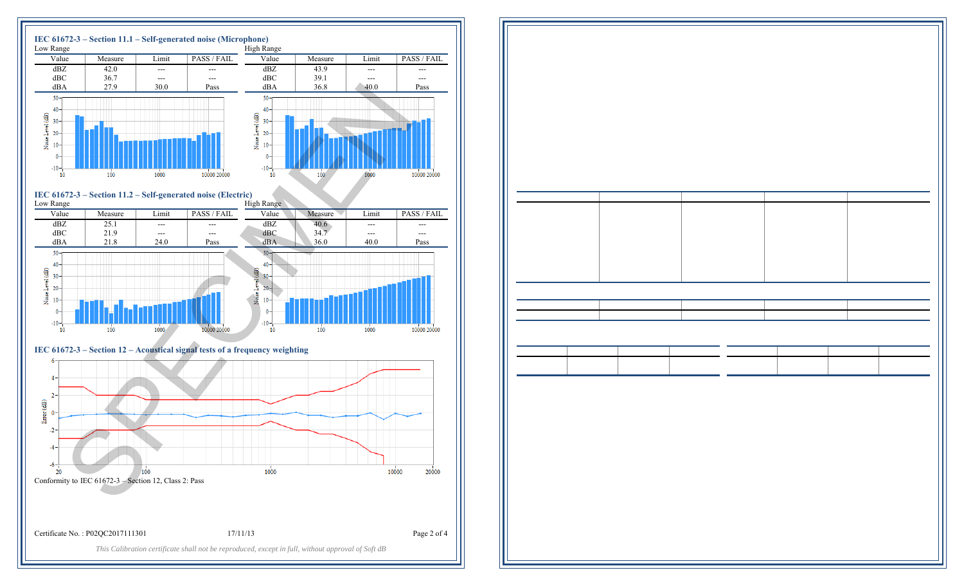

Conformity to IEC 61672-3 – Section 12, Class 2: Pass

Certificate No. : P02QC2017111301

17/11/13 Page 2 of 4

*This Calibration certificate shall not be reproduced, except in full, without approval of Soft dB*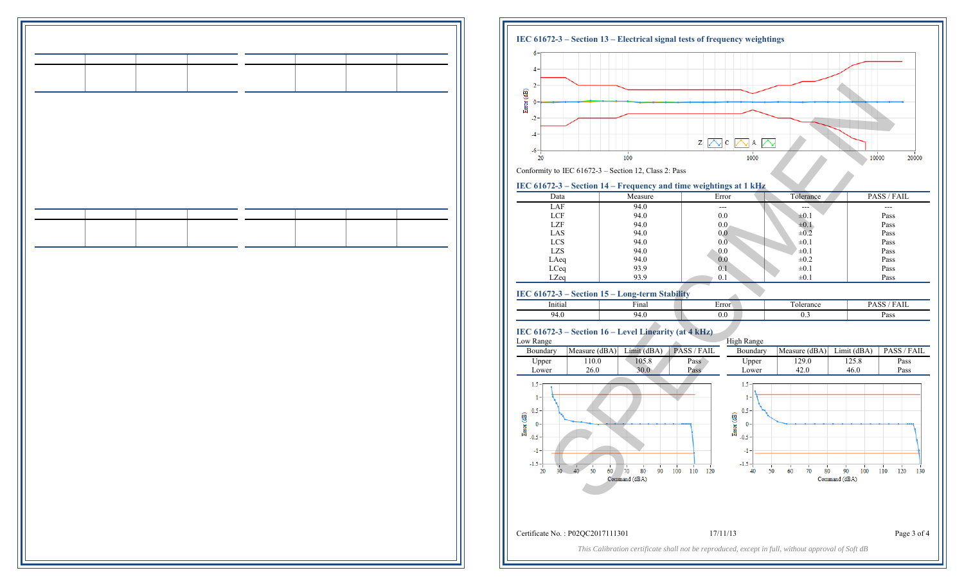